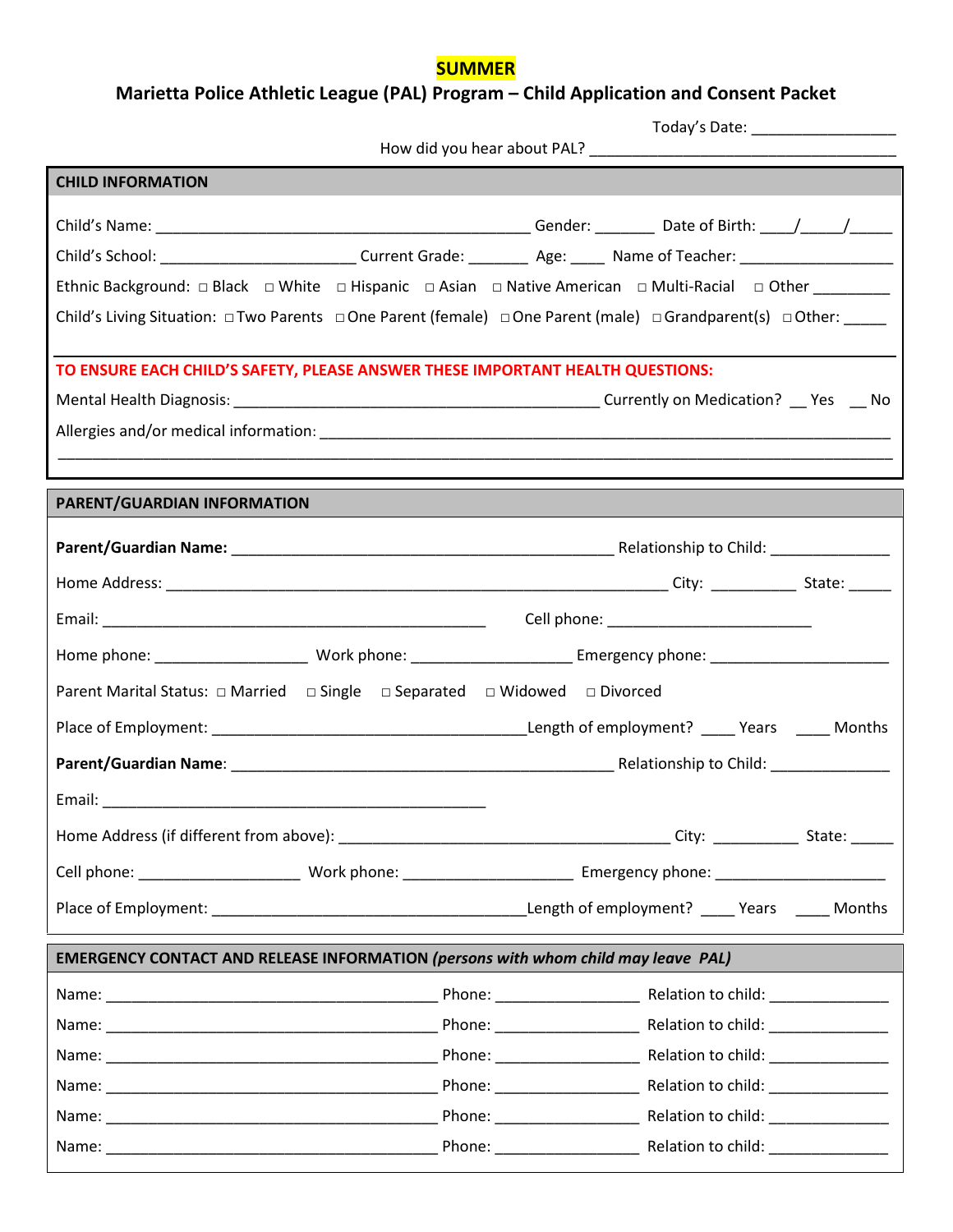## **SUMMER**

# **Marietta Police Athletic League (PAL) Program – Child Application and Consent Packet**

|                                                                                                                                        | Today's Date: ___________________ |  |  |  |
|----------------------------------------------------------------------------------------------------------------------------------------|-----------------------------------|--|--|--|
|                                                                                                                                        |                                   |  |  |  |
| <b>CHILD INFORMATION</b>                                                                                                               |                                   |  |  |  |
|                                                                                                                                        |                                   |  |  |  |
|                                                                                                                                        |                                   |  |  |  |
| Child's School: _____________________________Current Grade: ___________ Age: ______ Name of Teacher: _________________________________ |                                   |  |  |  |
| Ethnic Background: □ Black □ White □ Hispanic □ Asian □ Native American □ Multi-Racial □ Other _________                               |                                   |  |  |  |
| Child's Living Situation: □Two Parents □One Parent (female) □One Parent (male) □Grandparent(s) □Other: _____                           |                                   |  |  |  |
| TO ENSURE EACH CHILD'S SAFETY, PLEASE ANSWER THESE IMPORTANT HEALTH QUESTIONS:                                                         |                                   |  |  |  |
|                                                                                                                                        |                                   |  |  |  |
|                                                                                                                                        |                                   |  |  |  |
|                                                                                                                                        |                                   |  |  |  |
|                                                                                                                                        |                                   |  |  |  |
| PARENT/GUARDIAN INFORMATION                                                                                                            |                                   |  |  |  |
|                                                                                                                                        |                                   |  |  |  |
|                                                                                                                                        |                                   |  |  |  |
|                                                                                                                                        |                                   |  |  |  |
|                                                                                                                                        |                                   |  |  |  |
| Parent Marital Status: □ Married □ Single □ Separated □ Widowed □ Divorced                                                             |                                   |  |  |  |
|                                                                                                                                        |                                   |  |  |  |
|                                                                                                                                        |                                   |  |  |  |
|                                                                                                                                        |                                   |  |  |  |
|                                                                                                                                        |                                   |  |  |  |
|                                                                                                                                        |                                   |  |  |  |
|                                                                                                                                        |                                   |  |  |  |
| EMERGENCY CONTACT AND RELEASE INFORMATION (persons with whom child may leave PAL)                                                      |                                   |  |  |  |
|                                                                                                                                        |                                   |  |  |  |
|                                                                                                                                        |                                   |  |  |  |
|                                                                                                                                        |                                   |  |  |  |
|                                                                                                                                        |                                   |  |  |  |
|                                                                                                                                        |                                   |  |  |  |
|                                                                                                                                        |                                   |  |  |  |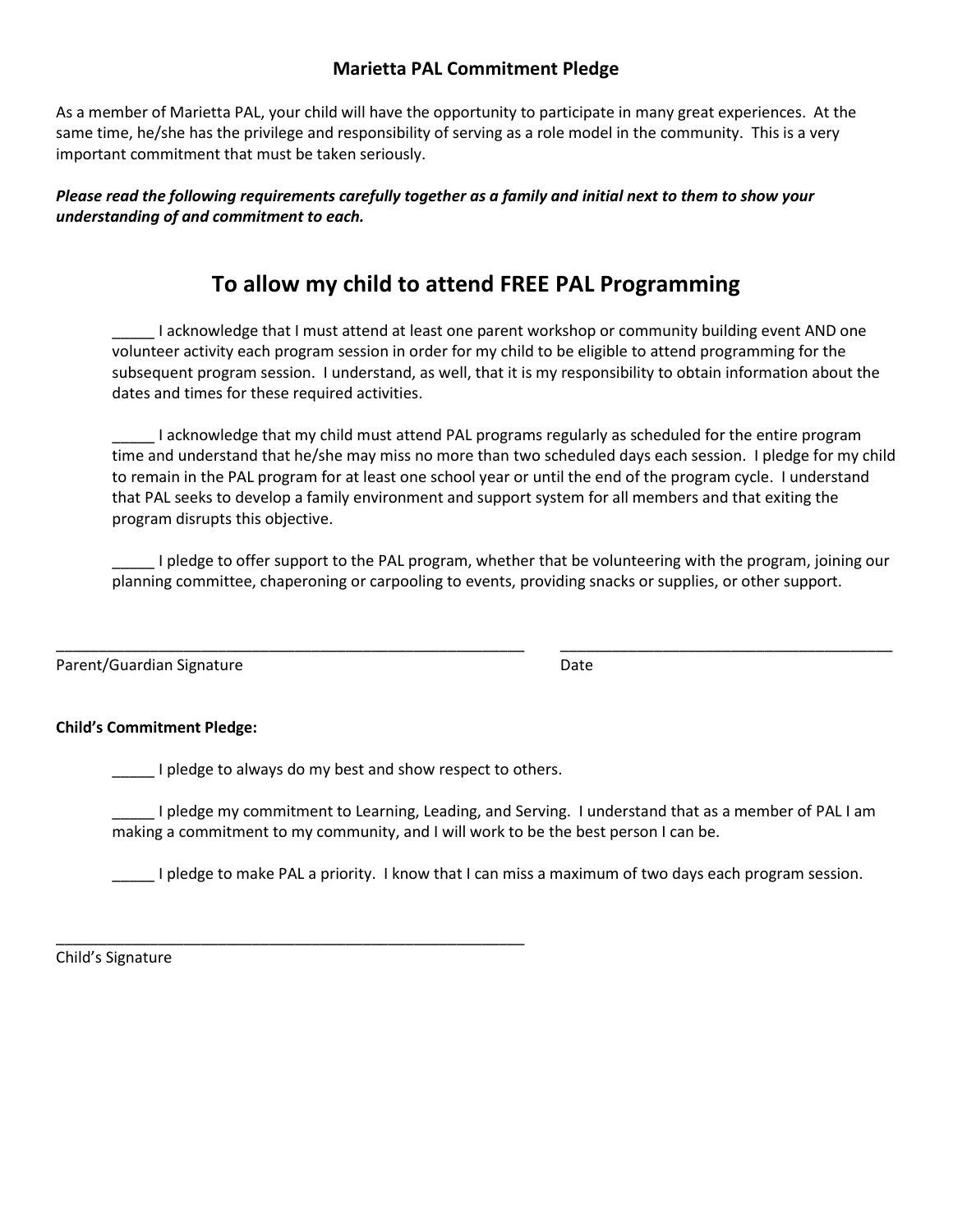## **Marietta PAL Commitment Pledge**

As a member of Marietta PAL, your child will have the opportunity to participate in many great experiences. At the same time, he/she has the privilege and responsibility of serving as a role model in the community. This is a very important commitment that must be taken seriously.

*Please read the following requirements carefully together as a family and initial next to them to show your understanding of and commitment to each.*

# **To allow my child to attend FREE PAL Programming**

\_\_\_\_\_ I acknowledge that I must attend at least one parent workshop or community building event AND one volunteer activity each program session in order for my child to be eligible to attend programming for the subsequent program session. I understand, as well, that it is my responsibility to obtain information about the dates and times for these required activities.

\_\_\_\_\_ I acknowledge that my child must attend PAL programs regularly as scheduled for the entire program time and understand that he/she may miss no more than two scheduled days each session. I pledge for my child to remain in the PAL program for at least one school year or until the end of the program cycle. I understand that PAL seeks to develop a family environment and support system for all members and that exiting the program disrupts this objective.

\_\_\_\_\_ I pledge to offer support to the PAL program, whether that be volunteering with the program, joining our planning committee, chaperoning or carpooling to events, providing snacks or supplies, or other support.

\_\_\_\_\_\_\_\_\_\_\_\_\_\_\_\_\_\_\_\_\_\_\_\_\_\_\_\_\_\_\_\_\_\_\_\_\_\_\_\_\_\_\_\_\_\_\_\_\_\_\_\_\_\_\_ \_\_\_\_\_\_\_\_\_\_\_\_\_\_\_\_\_\_\_\_\_\_\_\_\_\_\_\_\_\_\_\_\_\_\_\_\_\_\_

| Parent/Guardian Signature | Date |
|---------------------------|------|
|---------------------------|------|

## **Child's Commitment Pledge:**

I pledge to always do my best and show respect to others.

\_\_\_\_\_ I pledge my commitment to Learning, Leading, and Serving. I understand that as a member of PAL I am making a commitment to my community, and I will work to be the best person I can be.

\_\_\_\_\_ I pledge to make PAL a priority. I know that I can miss a maximum of two days each program session.

\_\_\_\_\_\_\_\_\_\_\_\_\_\_\_\_\_\_\_\_\_\_\_\_\_\_\_\_\_\_\_\_\_\_\_\_\_\_\_\_\_\_\_\_\_\_\_\_\_\_\_\_\_\_\_ Child's Signature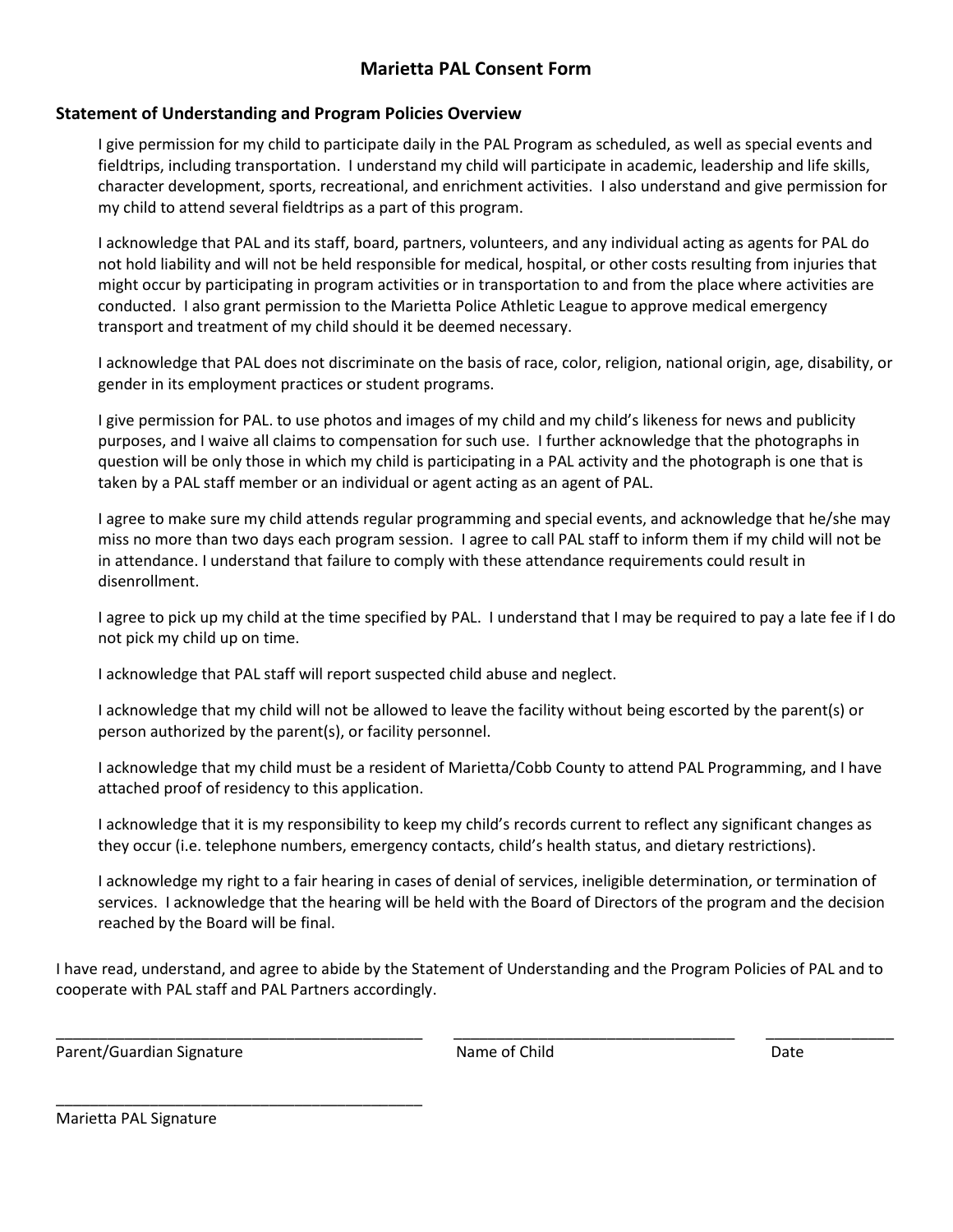## **Marietta PAL Consent Form**

## **Statement of Understanding and Program Policies Overview**

I give permission for my child to participate daily in the PAL Program as scheduled, as well as special events and fieldtrips, including transportation. I understand my child will participate in academic, leadership and life skills, character development, sports, recreational, and enrichment activities. I also understand and give permission for my child to attend several fieldtrips as a part of this program.

I acknowledge that PAL and its staff, board, partners, volunteers, and any individual acting as agents for PAL do not hold liability and will not be held responsible for medical, hospital, or other costs resulting from injuries that might occur by participating in program activities or in transportation to and from the place where activities are conducted. I also grant permission to the Marietta Police Athletic League to approve medical emergency transport and treatment of my child should it be deemed necessary.

I acknowledge that PAL does not discriminate on the basis of race, color, religion, national origin, age, disability, or gender in its employment practices or student programs.

I give permission for PAL. to use photos and images of my child and my child's likeness for news and publicity purposes, and I waive all claims to compensation for such use. I further acknowledge that the photographs in question will be only those in which my child is participating in a PAL activity and the photograph is one that is taken by a PAL staff member or an individual or agent acting as an agent of PAL.

I agree to make sure my child attends regular programming and special events, and acknowledge that he/she may miss no more than two days each program session. I agree to call PAL staff to inform them if my child will not be in attendance. I understand that failure to comply with these attendance requirements could result in disenrollment.

I agree to pick up my child at the time specified by PAL. I understand that I may be required to pay a late fee if I do not pick my child up on time.

I acknowledge that PAL staff will report suspected child abuse and neglect.

I acknowledge that my child will not be allowed to leave the facility without being escorted by the parent(s) or person authorized by the parent(s), or facility personnel.

I acknowledge that my child must be a resident of Marietta/Cobb County to attend PAL Programming, and I have attached proof of residency to this application.

I acknowledge that it is my responsibility to keep my child's records current to reflect any significant changes as they occur (i.e. telephone numbers, emergency contacts, child's health status, and dietary restrictions).

I acknowledge my right to a fair hearing in cases of denial of services, ineligible determination, or termination of services. I acknowledge that the hearing will be held with the Board of Directors of the program and the decision reached by the Board will be final.

I have read, understand, and agree to abide by the Statement of Understanding and the Program Policies of PAL and to cooperate with PAL staff and PAL Partners accordingly.

\_\_\_\_\_\_\_\_\_\_\_\_\_\_\_\_\_\_\_\_\_\_\_\_\_\_\_\_\_\_\_\_\_\_\_\_\_\_\_\_\_\_\_ \_\_\_\_\_\_\_\_\_\_\_\_\_\_\_\_\_\_\_\_\_\_\_\_\_\_\_\_\_\_\_\_\_ \_\_\_\_\_\_\_\_\_\_\_\_\_\_\_

Parent/Guardian Signature **Name of Child** Date Date

\_\_\_\_\_\_\_\_\_\_\_\_\_\_\_\_\_\_\_\_\_\_\_\_\_\_\_\_\_\_\_\_\_\_\_\_\_\_\_\_\_\_\_

Marietta PAL Signature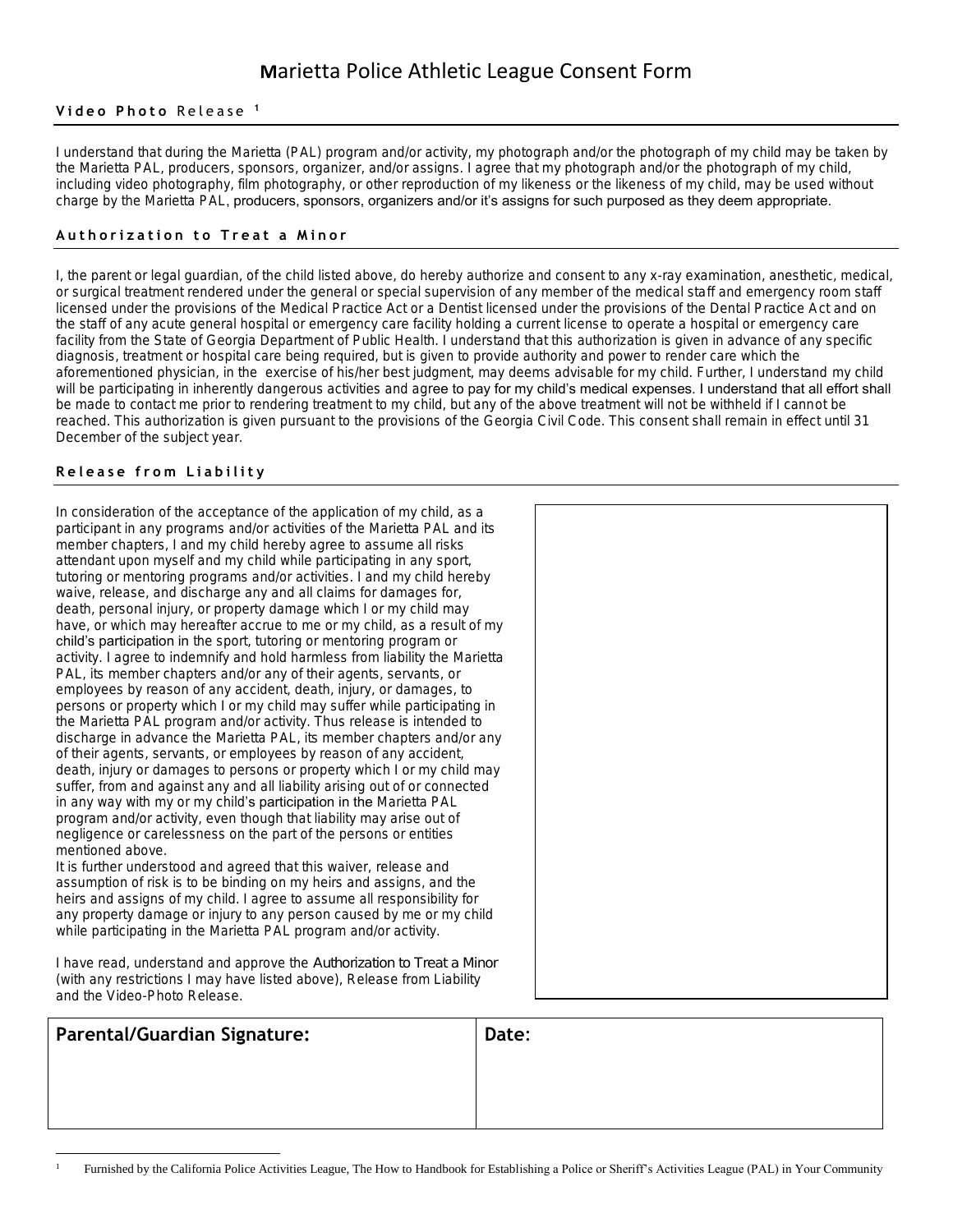# **M**arietta Police Athletic League Consent Form

#### Video Photo Release<sup>1</sup>

**I understand that during the Marietta (PAL) program and/or activity, my photograph and/or the photograph of my child may be taken by the Marietta PAL, producers, sponsors, organizer, and/or assigns. I agree that my photograph and/or the photograph of my child, including video photography, film photography, or other reproduction of my likeness or the likeness of my child, may be used without charge by the Marietta PAL, producers, sponsors, organizers and/or it's assigns for such purposed as they deem appropriate.**

#### **A u t h o r i z a t i o n t o T r e a t a M i n o r**

**I, the parent or legal guardian, of the child listed above, do hereby authorize and consent to any x-ray examination, anesthetic, medical, or surgical treatment rendered under the general or special supervision of any member of the medical staff and emergency room staff licensed under the provisions of the Medical Practice Act or a Dentist licensed under the provisions of the Dental Practice Act and on the staff of any acute general hospital or emergency care facility holding a current license to operate a hospital or emergency care facility from the State of Georgia Department of Public Health. I understand that this authorization is given in advance of any specific diagnosis, treatment or hospital care being required, but is given to provide authority and power to render care which the aforementioned physician, in the exercise of his/her best judgment, may deems advisable for my child. Further, I understand my child**  will be participating in inherently dangerous activities and agree to pay for my child's medical expenses. I understand that all effort shall **be made to contact me prior to rendering treatment to my child, but any of the above treatment will not be withheld if I cannot be reached. This authorization is given pursuant to the provisions of the Georgia Civil Code. This consent shall remain in effect until 31 December of the subject year.**

## **R e l e a s e f r o m L i a b i l i t y**

 $\overline{\phantom{a}}$ 

**In consideration of the acceptance of the application of my child, as a participant in any programs and/or activities of the Marietta PAL and its member chapters, I and my child hereby agree to assume all risks attendant upon myself and my child while participating in any sport, tutoring or mentoring programs and/or activities. I and my child hereby waive, release, and discharge any and all claims for damages for, death, personal injury, or property damage which I or my child may have, or which may hereafter accrue to me or my child, as a result of my child's participation in the sport, tutoring or mentoring program or activity. I agree to indemnify and hold harmless from liability the Marietta PAL, its member chapters and/or any of their agents, servants, or employees by reason of any accident, death, injury, or damages, to persons or property which I or my child may suffer while participating in the Marietta PAL program and/or activity. Thus release is intended to discharge in advance the Marietta PAL, its member chapters and/or any of their agents, servants, or employees by reason of any accident, death, injury or damages to persons or property which I or my child may suffer, from and against any and all liability arising out of or connected in any way with my or my child's participation in the Marietta PAL program and/or activity, even though that liability may arise out of negligence or carelessness on the part of the persons or entities mentioned above.**

**It is further understood and agreed that this waiver, release and assumption of risk is to be binding on my heirs and assigns, and the heirs and assigns of my child. I agree to assume all responsibility for any property damage or injury to any person caused by me or my child while participating in the Marietta PAL program and/or activity.**

**I have read, understand and approve the** *Authorization to Treat a Minor* **(with any restrictions I may have listed above), Release from Liability and the Video-Photo Release.**

| Parental/Guardian Signature: | Date: |
|------------------------------|-------|
|                              |       |
|                              |       |

|  | Furnished by the California Police Activities League, The How to Handbook for Establishing a Police or Sheriff's Activities League (PAL) in Your Community |  |  |  |  |
|--|------------------------------------------------------------------------------------------------------------------------------------------------------------|--|--|--|--|
|--|------------------------------------------------------------------------------------------------------------------------------------------------------------|--|--|--|--|